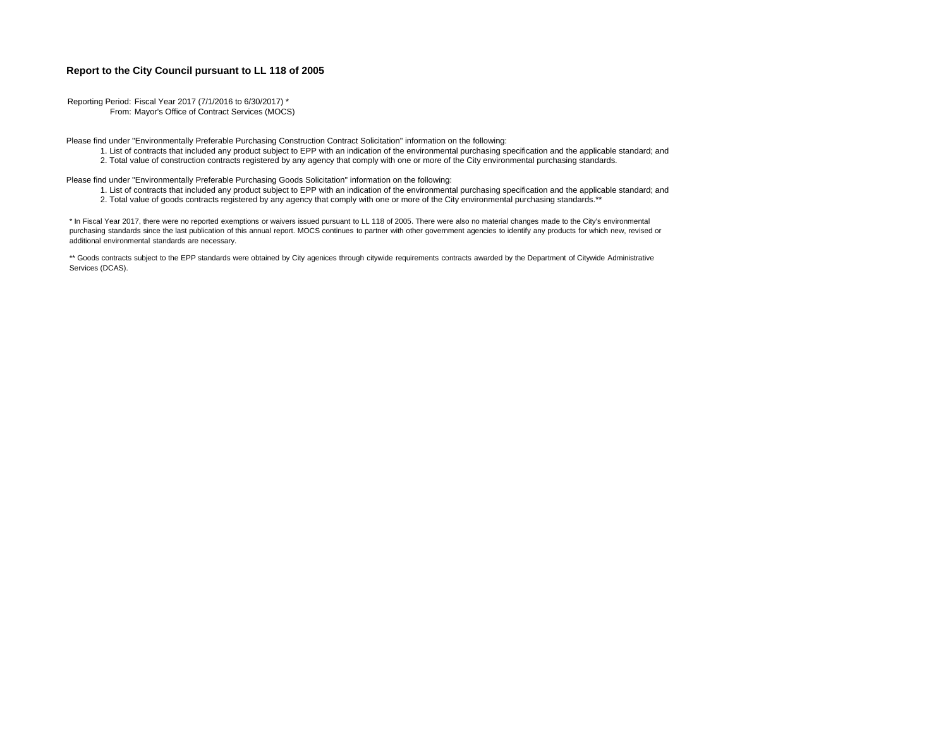## **Report to the City Council pursuant to LL 118 of 2005**

Reporting Period: Fiscal Year 2017 (7/1/2016 to 6/30/2017) \* From: Mayor's Office of Contract Services (MOCS)

Please find under "Environmentally Preferable Purchasing Construction Contract Solicitation" information on the following:

- 1. List of contracts that included any product subject to EPP with an indication of the environmental purchasing specification and the applicable standard; and
- 2. Total value of construction contracts registered by any agency that comply with one or more of the City environmental purchasing standards.

Please find under "Environmentally Preferable Purchasing Goods Solicitation" information on the following:

- 1. List of contracts that included any product subject to EPP with an indication of the environmental purchasing specification and the applicable standard; and
- 2. Total value of goods contracts registered by any agency that comply with one or more of the City environmental purchasing standards.\*\*

\* In Fiscal Year 2017, there were no reported exemptions or waivers issued pursuant to LL 118 of 2005. There were also no material changes made to the City's environmental purchasing standards since the last publication of this annual report. MOCS continues to partner with other government agencies to identify any products for which new, revised or additional environmental standards are necessary.

\*\* Goods contracts subject to the EPP standards were obtained by City agenices through citywide requirements contracts awarded by the Department of Citywide Administrative Services (DCAS).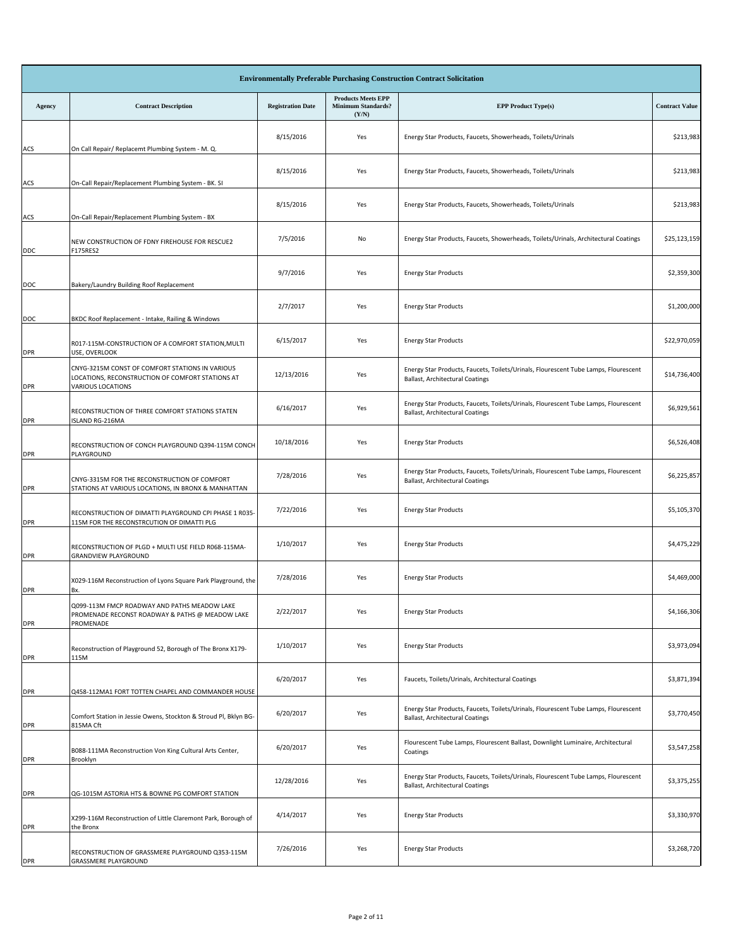| <b>Environmentally Preferable Purchasing Construction Contract Solicitation</b> |                                                                                                                                 |                          |                                                                 |                                                                                                                        |                       |  |  |
|---------------------------------------------------------------------------------|---------------------------------------------------------------------------------------------------------------------------------|--------------------------|-----------------------------------------------------------------|------------------------------------------------------------------------------------------------------------------------|-----------------------|--|--|
| Agency                                                                          | <b>Contract Description</b>                                                                                                     | <b>Registration Date</b> | <b>Products Meets EPP</b><br><b>Minimum Standards?</b><br>(Y/N) | <b>EPP Product Type(s)</b>                                                                                             | <b>Contract Value</b> |  |  |
| ACS                                                                             | On Call Repair/ Replacemt Plumbing System - M. Q.                                                                               | 8/15/2016                | Yes                                                             | Energy Star Products, Faucets, Showerheads, Toilets/Urinals                                                            | \$213,983             |  |  |
| ACS                                                                             | On-Call Repair/Replacement Plumbing System - BK. SI                                                                             | 8/15/2016                | Yes                                                             | Energy Star Products, Faucets, Showerheads, Toilets/Urinals                                                            | \$213,983             |  |  |
| ACS                                                                             | On-Call Repair/Replacement Plumbing System - BX                                                                                 | 8/15/2016                | Yes                                                             | Energy Star Products, Faucets, Showerheads, Toilets/Urinals                                                            | \$213,983             |  |  |
| <b>DDC</b>                                                                      | NEW CONSTRUCTION OF FDNY FIREHOUSE FOR RESCUE2<br>F175RES2                                                                      | 7/5/2016                 | No                                                              | Energy Star Products, Faucets, Showerheads, Toilets/Urinals, Architectural Coatings                                    | \$25,123,159          |  |  |
| DOC                                                                             | Bakery/Laundry Building Roof Replacement                                                                                        | 9/7/2016                 | Yes                                                             | <b>Energy Star Products</b>                                                                                            | \$2,359,300           |  |  |
| DOC                                                                             | BKDC Roof Replacement - Intake, Railing & Windows                                                                               | 2/7/2017                 | Yes                                                             | <b>Energy Star Products</b>                                                                                            | \$1,200,000           |  |  |
| <b>DPR</b>                                                                      | R017-115M-CONSTRUCTION OF A COMFORT STATION, MULTI<br>USE, OVERLOOK                                                             | 6/15/2017                | Yes                                                             | <b>Energy Star Products</b>                                                                                            | \$22,970,059          |  |  |
| <b>DPR</b>                                                                      | CNYG-3215M CONST OF COMFORT STATIONS IN VARIOUS<br>LOCATIONS, RECONSTRUCTION OF COMFORT STATIONS AT<br><b>VARIOUS LOCATIONS</b> | 12/13/2016               | Yes                                                             | Energy Star Products, Faucets, Toilets/Urinals, Flourescent Tube Lamps, Flourescent<br>Ballast, Architectural Coatings | \$14,736,400          |  |  |
| <b>DPR</b>                                                                      | RECONSTRUCTION OF THREE COMFORT STATIONS STATEN<br><b>ISLAND RG-216MA</b>                                                       | 6/16/2017                | Yes                                                             | Energy Star Products, Faucets, Toilets/Urinals, Flourescent Tube Lamps, Flourescent<br>Ballast, Architectural Coatings | \$6,929,561           |  |  |
| <b>DPR</b>                                                                      | RECONSTRUCTION OF CONCH PLAYGROUND Q394-115M CONCH<br>PLAYGROUND                                                                | 10/18/2016               | Yes                                                             | <b>Energy Star Products</b>                                                                                            | \$6,526,408           |  |  |
| <b>DPR</b>                                                                      | CNYG-3315M FOR THE RECONSTRUCTION OF COMFORT<br>STATIONS AT VARIOUS LOCATIONS, IN BRONX & MANHATTAN                             | 7/28/2016                | Yes                                                             | Energy Star Products, Faucets, Toilets/Urinals, Flourescent Tube Lamps, Flourescent<br>Ballast, Architectural Coatings | \$6,225,857           |  |  |
| <b>DPR</b>                                                                      | RECONSTRUCTION OF DIMATTI PLAYGROUND CPI PHASE 1 R035-<br>115M FOR THE RECONSTRCUTION OF DIMATTI PLG                            | 7/22/2016                | Yes                                                             | <b>Energy Star Products</b>                                                                                            | \$5,105,370           |  |  |
| <b>DPR</b>                                                                      | RECONSTRUCTION OF PLGD + MULTI USE FIELD R068-115MA-<br>GRANDVIEW PLAYGROUND                                                    | 1/10/2017                | Yes                                                             | <b>Energy Star Products</b>                                                                                            | \$4,475,229           |  |  |
| <b>DPR</b>                                                                      | X029-116M Reconstruction of Lyons Square Park Playground, the<br>Bx.                                                            | 7/28/2016                | Yes                                                             | <b>Energy Star Products</b>                                                                                            | \$4,469,000           |  |  |
| <b>DPR</b>                                                                      | Q099-113M FMCP ROADWAY AND PATHS MEADOW LAKE<br>PROMENADE RECONST ROADWAY & PATHS @ MEADOW LAKE<br>PROMENADE                    | 2/22/2017                | Yes                                                             | <b>Energy Star Products</b>                                                                                            | \$4,166,306           |  |  |
| <b>DPR</b>                                                                      | Reconstruction of Playground 52, Borough of The Bronx X179-<br>115M                                                             | 1/10/2017                | Yes                                                             | <b>Energy Star Products</b>                                                                                            | \$3,973,094           |  |  |
| <b>DPR</b>                                                                      | Q458-112MA1 FORT TOTTEN CHAPEL AND COMMANDER HOUSE                                                                              | 6/20/2017                | Yes                                                             | Faucets, Toilets/Urinals, Architectural Coatings                                                                       | \$3,871,394           |  |  |
| <b>DPR</b>                                                                      | Comfort Station in Jessie Owens, Stockton & Stroud Pl, Bklyn BG-<br>815MA Cft                                                   | 6/20/2017                | Yes                                                             | Energy Star Products, Faucets, Toilets/Urinals, Flourescent Tube Lamps, Flourescent<br>Ballast, Architectural Coatings | \$3,770,450           |  |  |
| <b>DPR</b>                                                                      | B088-111MA Reconstruction Von King Cultural Arts Center,<br>Brooklyn                                                            | 6/20/2017                | Yes                                                             | Flourescent Tube Lamps, Flourescent Ballast, Downlight Luminaire, Architectural<br>Coatings                            | \$3,547,258           |  |  |
| <b>DPR</b>                                                                      | QG-1015M ASTORIA HTS & BOWNE PG COMFORT STATION                                                                                 | 12/28/2016               | Yes                                                             | Energy Star Products, Faucets, Toilets/Urinals, Flourescent Tube Lamps, Flourescent<br>Ballast, Architectural Coatings | \$3,375,255           |  |  |
| <b>DPR</b>                                                                      | X299-116M Reconstruction of Little Claremont Park, Borough of<br>the Bronx                                                      | 4/14/2017                | Yes                                                             | <b>Energy Star Products</b>                                                                                            | \$3,330,970           |  |  |
| <b>DPR</b>                                                                      | RECONSTRUCTION OF GRASSMERE PLAYGROUND Q353-115M<br>GRASSMERE PLAYGROUND                                                        | 7/26/2016                | Yes                                                             | <b>Energy Star Products</b>                                                                                            | \$3,268,720           |  |  |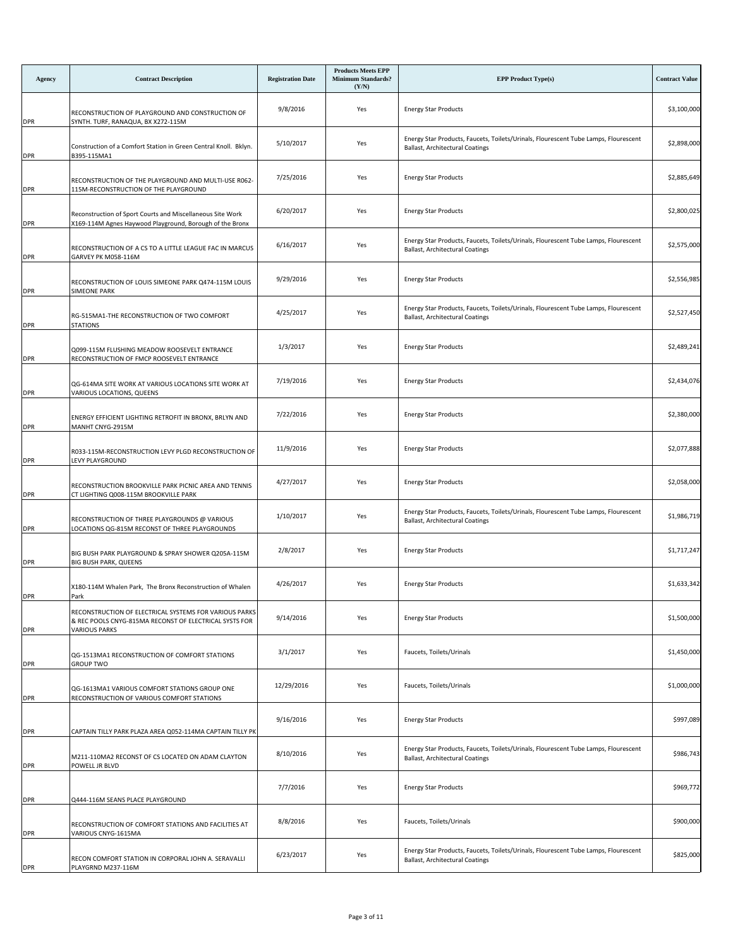| Agency     | <b>Contract Description</b>                                                                                                              | <b>Registration Date</b> | <b>Products Meets EPP</b><br><b>Minimum Standards?</b><br>(Y/N) | <b>EPP Product Type(s)</b>                                                                                             | <b>Contract Value</b> |
|------------|------------------------------------------------------------------------------------------------------------------------------------------|--------------------------|-----------------------------------------------------------------|------------------------------------------------------------------------------------------------------------------------|-----------------------|
| <b>DPR</b> | RECONSTRUCTION OF PLAYGROUND AND CONSTRUCTION OF<br>SYNTH. TURF, RANAQUA, BX X272-115M                                                   | 9/8/2016                 | Yes                                                             | <b>Energy Star Products</b>                                                                                            | \$3,100,000           |
| <b>DPR</b> | Construction of a Comfort Station in Green Central Knoll. Bklyn.<br>B395-115MA1                                                          | 5/10/2017                | Yes                                                             | Energy Star Products, Faucets, Toilets/Urinals, Flourescent Tube Lamps, Flourescent<br>Ballast, Architectural Coatings | \$2,898,000           |
| <b>DPR</b> | RECONSTRUCTION OF THE PLAYGROUND AND MULTI-USE R062-<br>115M-RECONSTRUCTION OF THE PLAYGROUND                                            | 7/25/2016                | Yes                                                             | <b>Energy Star Products</b>                                                                                            | \$2,885,649           |
| <b>DPR</b> | Reconstruction of Sport Courts and Miscellaneous Site Work<br>X169-114M Agnes Haywood Playground, Borough of the Bronx                   | 6/20/2017                | Yes                                                             | <b>Energy Star Products</b>                                                                                            | \$2,800,025           |
| <b>DPR</b> | RECONSTRUCTION OF A CS TO A LITTLE LEAGUE FAC IN MARCUS<br>GARVEY PK M058-116M                                                           | 6/16/2017                | Yes                                                             | Energy Star Products, Faucets, Toilets/Urinals, Flourescent Tube Lamps, Flourescent<br>Ballast, Architectural Coatings | \$2,575,000           |
| <b>DPR</b> | RECONSTRUCTION OF LOUIS SIMEONE PARK Q474-115M LOUIS<br>SIMEONE PARK                                                                     | 9/29/2016                | Yes                                                             | <b>Energy Star Products</b>                                                                                            | \$2,556,985           |
| <b>DPR</b> | RG-515MA1-THE RECONSTRUCTION OF TWO COMFORT<br><b>STATIONS</b>                                                                           | 4/25/2017                | Yes                                                             | Energy Star Products, Faucets, Toilets/Urinals, Flourescent Tube Lamps, Flourescent<br>Ballast, Architectural Coatings | \$2,527,450           |
| <b>DPR</b> | Q099-115M FLUSHING MEADOW ROOSEVELT ENTRANCE<br>RECONSTRUCTION OF FMCP ROOSEVELT ENTRANCE                                                | 1/3/2017                 | Yes                                                             | <b>Energy Star Products</b>                                                                                            | \$2,489,241           |
| <b>DPR</b> | QG-614MA SITE WORK AT VARIOUS LOCATIONS SITE WORK AT<br>VARIOUS LOCATIONS, QUEENS                                                        | 7/19/2016                | Yes                                                             | <b>Energy Star Products</b>                                                                                            | \$2,434,076           |
| <b>DPR</b> | ENERGY EFFICIENT LIGHTING RETROFIT IN BRONX, BRLYN AND<br>MANHT CNYG-2915M                                                               | 7/22/2016                | Yes                                                             | <b>Energy Star Products</b>                                                                                            | \$2,380,000           |
| <b>DPR</b> | R033-115M-RECONSTRUCTION LEVY PLGD RECONSTRUCTION OF<br>LEVY PLAYGROUND                                                                  | 11/9/2016                | Yes                                                             | <b>Energy Star Products</b>                                                                                            | \$2,077,888           |
| <b>DPR</b> | RECONSTRUCTION BROOKVILLE PARK PICNIC AREA AND TENNIS<br>CT LIGHTING Q008-115M BROOKVILLE PARK                                           | 4/27/2017                | Yes                                                             | <b>Energy Star Products</b>                                                                                            | \$2,058,000           |
| <b>DPR</b> | RECONSTRUCTION OF THREE PLAYGROUNDS @ VARIOUS<br>LOCATIONS QG-815M RECONST OF THREE PLAYGROUNDS                                          | 1/10/2017                | Yes                                                             | Energy Star Products, Faucets, Toilets/Urinals, Flourescent Tube Lamps, Flourescent<br>Ballast, Architectural Coatings | \$1,986,719           |
| <b>DPR</b> | BIG BUSH PARK PLAYGROUND & SPRAY SHOWER Q205A-115M<br>BIG BUSH PARK, QUEENS                                                              | 2/8/2017                 | Yes                                                             | <b>Energy Star Products</b>                                                                                            | \$1,717,247           |
| <b>DPR</b> | X180-114M Whalen Park, The Bronx Reconstruction of Whalen<br>Park                                                                        | 4/26/2017                | Yes                                                             | <b>Energy Star Products</b>                                                                                            | \$1,633,342           |
| <b>DPR</b> | RECONSTRUCTION OF ELECTRICAL SYSTEMS FOR VARIOUS PARKS<br>& REC POOLS CNYG-815MA RECONST OF ELECTRICAL SYSTS FOR<br><b>VARIOUS PARKS</b> | 9/14/2016                | Yes                                                             | <b>Energy Star Products</b>                                                                                            | \$1,500,000           |
| <b>DPR</b> | QG-1513MA1 RECONSTRUCTION OF COMFORT STATIONS<br><b>GROUP TWO</b>                                                                        | 3/1/2017                 | Yes                                                             | Faucets, Toilets/Urinals                                                                                               | \$1,450,000           |
| <b>DPR</b> | QG-1613MA1 VARIOUS COMFORT STATIONS GROUP ONE<br>RECONSTRUCTION OF VARIOUS COMFORT STATIONS                                              | 12/29/2016               | Yes                                                             | Faucets, Toilets/Urinals                                                                                               | \$1,000,000           |
| <b>DPR</b> | CAPTAIN TILLY PARK PLAZA AREA Q052-114MA CAPTAIN TILLY PK                                                                                | 9/16/2016                | Yes                                                             | <b>Energy Star Products</b>                                                                                            | \$997,089             |
| <b>DPR</b> | M211-110MA2 RECONST OF CS LOCATED ON ADAM CLAYTON<br>POWELL JR BLVD                                                                      | 8/10/2016                | Yes                                                             | Energy Star Products, Faucets, Toilets/Urinals, Flourescent Tube Lamps, Flourescent<br>Ballast, Architectural Coatings | \$986,743             |
| <b>DPR</b> | Q444-116M SEANS PLACE PLAYGROUND                                                                                                         | 7/7/2016                 | Yes                                                             | <b>Energy Star Products</b>                                                                                            | \$969,772             |
| <b>DPR</b> | RECONSTRUCTION OF COMFORT STATIONS AND FACILITIES AT<br>VARIOUS CNYG-1615MA                                                              | 8/8/2016                 | Yes                                                             | Faucets, Toilets/Urinals                                                                                               | \$900,000             |
| <b>DPR</b> | RECON COMFORT STATION IN CORPORAL JOHN A. SERAVALLI<br>PLAYGRND M237-116M                                                                | 6/23/2017                | Yes                                                             | Energy Star Products, Faucets, Toilets/Urinals, Flourescent Tube Lamps, Flourescent<br>Ballast, Architectural Coatings | \$825,000             |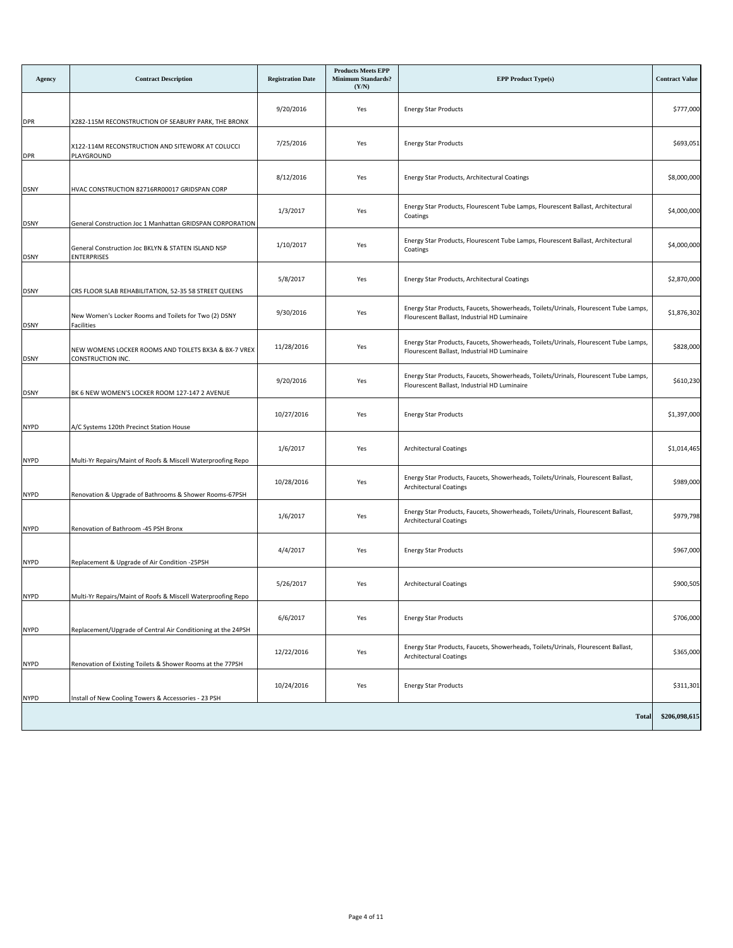| Agency      | <b>Contract Description</b>                                               | <b>Registration Date</b> | <b>Products Meets EPP</b><br><b>Minimum Standards?</b><br>(Y/N) | <b>EPP Product Type(s)</b>                                                                                                           | <b>Contract Value</b> |
|-------------|---------------------------------------------------------------------------|--------------------------|-----------------------------------------------------------------|--------------------------------------------------------------------------------------------------------------------------------------|-----------------------|
| <b>DPR</b>  | X282-115M RECONSTRUCTION OF SEABURY PARK, THE BRONX                       | 9/20/2016                | Yes                                                             | <b>Energy Star Products</b>                                                                                                          | \$777,000             |
| <b>DPR</b>  | X122-114M RECONSTRUCTION AND SITEWORK AT COLUCCI<br>PLAYGROUND            | 7/25/2016                | Yes                                                             | <b>Energy Star Products</b>                                                                                                          | \$693,051             |
| <b>DSNY</b> | HVAC CONSTRUCTION 82716RR00017 GRIDSPAN CORP                              | 8/12/2016                | Yes                                                             | Energy Star Products, Architectural Coatings                                                                                         | \$8,000,000           |
| <b>DSNY</b> | General Construction Joc 1 Manhattan GRIDSPAN CORPORATION                 | 1/3/2017                 | Yes                                                             | Energy Star Products, Flourescent Tube Lamps, Flourescent Ballast, Architectural<br>Coatings                                         | \$4,000,000           |
| <b>DSNY</b> | General Construction Joc BKLYN & STATEN ISLAND NSP<br><b>ENTERPRISES</b>  | 1/10/2017                | Yes                                                             | Energy Star Products, Flourescent Tube Lamps, Flourescent Ballast, Architectural<br>Coatings                                         | \$4,000,000           |
| DSNY        | CRS FLOOR SLAB REHABILITATION, 52-35 58 STREET QUEENS                     | 5/8/2017                 | Yes                                                             | Energy Star Products, Architectural Coatings                                                                                         | \$2,870,000           |
| DSNY        | New Women's Locker Rooms and Toilets for Two (2) DSNY<br>Facilities       | 9/30/2016                | Yes                                                             | Energy Star Products, Faucets, Showerheads, Toilets/Urinals, Flourescent Tube Lamps,<br>Flourescent Ballast, Industrial HD Luminaire | \$1,876,302           |
| <b>DSNY</b> | NEW WOMENS LOCKER ROOMS AND TOILETS BX3A & BX-7 VREX<br>CONSTRUCTION INC. | 11/28/2016               | Yes                                                             | Energy Star Products, Faucets, Showerheads, Toilets/Urinals, Flourescent Tube Lamps,<br>Flourescent Ballast, Industrial HD Luminaire | \$828,000             |
| <b>DSNY</b> | BK 6 NEW WOMEN'S LOCKER ROOM 127-147 2 AVENUE                             | 9/20/2016                | Yes                                                             | Energy Star Products, Faucets, Showerheads, Toilets/Urinals, Flourescent Tube Lamps,<br>Flourescent Ballast, Industrial HD Luminaire | \$610,230             |
| <b>NYPD</b> | A/C Systems 120th Precinct Station House                                  | 10/27/2016               | Yes                                                             | <b>Energy Star Products</b>                                                                                                          | \$1,397,000           |
| <b>NYPD</b> | Multi-Yr Repairs/Maint of Roofs & Miscell Waterproofing Repo              | 1/6/2017                 | Yes                                                             | Architectural Coatings                                                                                                               | \$1,014,465           |
| <b>NYPD</b> | Renovation & Upgrade of Bathrooms & Shower Rooms-67PSH                    | 10/28/2016               | Yes                                                             | Energy Star Products, Faucets, Showerheads, Toilets/Urinals, Flourescent Ballast,<br>Architectural Coatings                          | \$989,000             |
| <b>NYPD</b> | Renovation of Bathroom -45 PSH Bronx                                      | 1/6/2017                 | Yes                                                             | Energy Star Products, Faucets, Showerheads, Toilets/Urinals, Flourescent Ballast,<br><b>Architectural Coatings</b>                   | \$979,798             |
| <b>NYPD</b> | Replacement & Upgrade of Air Condition -25PSH                             | 4/4/2017                 | Yes                                                             | <b>Energy Star Products</b>                                                                                                          | \$967,000             |
| <b>NYPD</b> | Multi-Yr Repairs/Maint of Roofs & Miscell Waterproofing Repo              | 5/26/2017                | Yes                                                             | Architectural Coatings                                                                                                               | \$900,505             |
| <b>NYPD</b> | Replacement/Upgrade of Central Air Conditioning at the 24PSH              | 6/6/2017                 | Yes                                                             | <b>Energy Star Products</b>                                                                                                          | \$706,000             |
| NYPD        | Renovation of Existing Toilets & Shower Rooms at the 77PSH                | 12/22/2016               | Yes                                                             | Energy Star Products, Faucets, Showerheads, Toilets/Urinals, Flourescent Ballast,<br><b>Architectural Coatings</b>                   | \$365,000             |
| <b>NYPD</b> | Install of New Cooling Towers & Accessories - 23 PSH                      | 10/24/2016               | Yes                                                             | <b>Energy Star Products</b>                                                                                                          | \$311,301             |
|             |                                                                           |                          |                                                                 | <b>Total</b>                                                                                                                         | \$206,098,615         |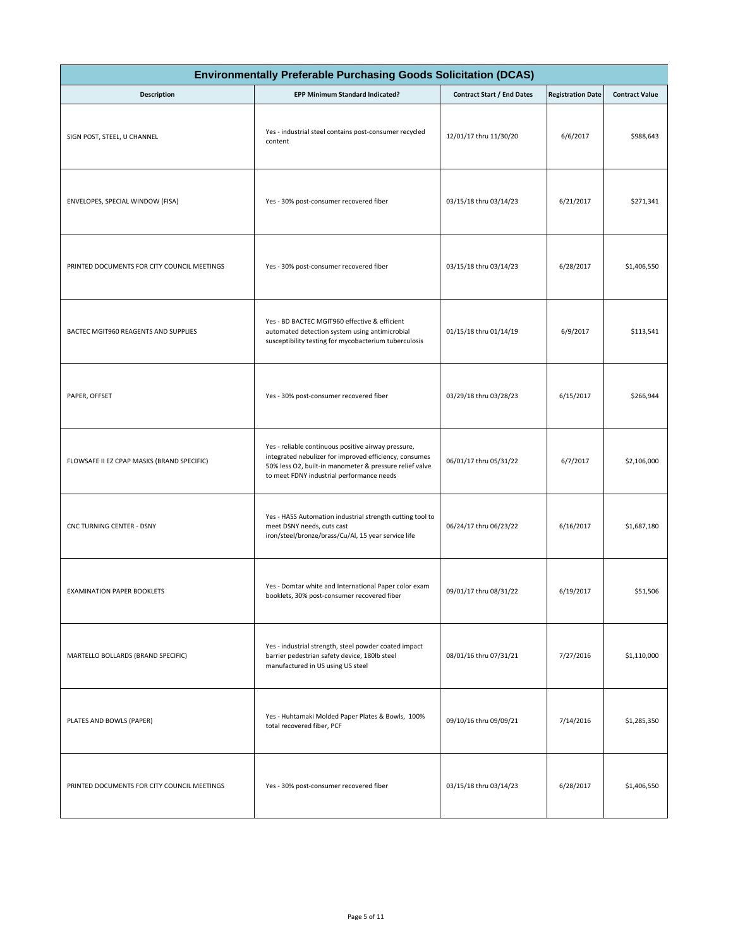| <b>Environmentally Preferable Purchasing Goods Solicitation (DCAS)</b> |                                                                                                                                                                                                                       |                                   |                          |                       |  |  |
|------------------------------------------------------------------------|-----------------------------------------------------------------------------------------------------------------------------------------------------------------------------------------------------------------------|-----------------------------------|--------------------------|-----------------------|--|--|
| <b>Description</b>                                                     | EPP Minimum Standard Indicated?                                                                                                                                                                                       | <b>Contract Start / End Dates</b> | <b>Registration Date</b> | <b>Contract Value</b> |  |  |
| SIGN POST, STEEL, U CHANNEL                                            | Yes - industrial steel contains post-consumer recycled<br>content                                                                                                                                                     | 12/01/17 thru 11/30/20            | 6/6/2017                 | \$988,643             |  |  |
| ENVELOPES, SPECIAL WINDOW (FISA)                                       | Yes - 30% post-consumer recovered fiber                                                                                                                                                                               | 03/15/18 thru 03/14/23            | 6/21/2017                | \$271,341             |  |  |
| PRINTED DOCUMENTS FOR CITY COUNCIL MEETINGS                            | Yes - 30% post-consumer recovered fiber                                                                                                                                                                               | 03/15/18 thru 03/14/23            | 6/28/2017                | \$1,406,550           |  |  |
| BACTEC MGIT960 REAGENTS AND SUPPLIES                                   | Yes - BD BACTEC MGIT960 effective & efficient<br>automated detection system using antimicrobial<br>susceptibility testing for mycobacterium tuberculosis                                                              | 01/15/18 thru 01/14/19            | 6/9/2017                 | \$113,541             |  |  |
| PAPER, OFFSET                                                          | Yes - 30% post-consumer recovered fiber                                                                                                                                                                               | 03/29/18 thru 03/28/23            | 6/15/2017                | \$266,944             |  |  |
| FLOWSAFE II EZ CPAP MASKS (BRAND SPECIFIC)                             | Yes - reliable continuous positive airway pressure,<br>integrated nebulizer for improved efficiency, consumes<br>50% less O2, built-in manometer & pressure relief valve<br>to meet FDNY industrial performance needs | 06/01/17 thru 05/31/22            | 6/7/2017                 | \$2,106,000           |  |  |
| CNC TURNING CENTER - DSNY                                              | Yes - HASS Automation industrial strength cutting tool to<br>meet DSNY needs, cuts cast<br>iron/steel/bronze/brass/Cu/Al, 15 year service life                                                                        | 06/24/17 thru 06/23/22            | 6/16/2017                | \$1,687,180           |  |  |
| <b>EXAMINATION PAPER BOOKLETS</b>                                      | Yes - Domtar white and International Paper color exam<br>booklets, 30% post-consumer recovered fiber                                                                                                                  | 09/01/17 thru 08/31/22            | 6/19/2017                | \$51,506              |  |  |
| MARTELLO BOLLARDS (BRAND SPECIFIC)                                     | Yes - industrial strength, steel powder coated impact<br>barrier pedestrian safety device, 180lb steel<br>manufactured in US using US steel                                                                           | 08/01/16 thru 07/31/21            | 7/27/2016                | \$1,110,000           |  |  |
| PLATES AND BOWLS (PAPER)                                               | Yes - Huhtamaki Molded Paper Plates & Bowls, 100%<br>total recovered fiber, PCF                                                                                                                                       | 09/10/16 thru 09/09/21            | 7/14/2016                | \$1,285,350           |  |  |
| PRINTED DOCUMENTS FOR CITY COUNCIL MEETINGS                            | Yes - 30% post-consumer recovered fiber                                                                                                                                                                               | 03/15/18 thru 03/14/23            | 6/28/2017                | \$1,406,550           |  |  |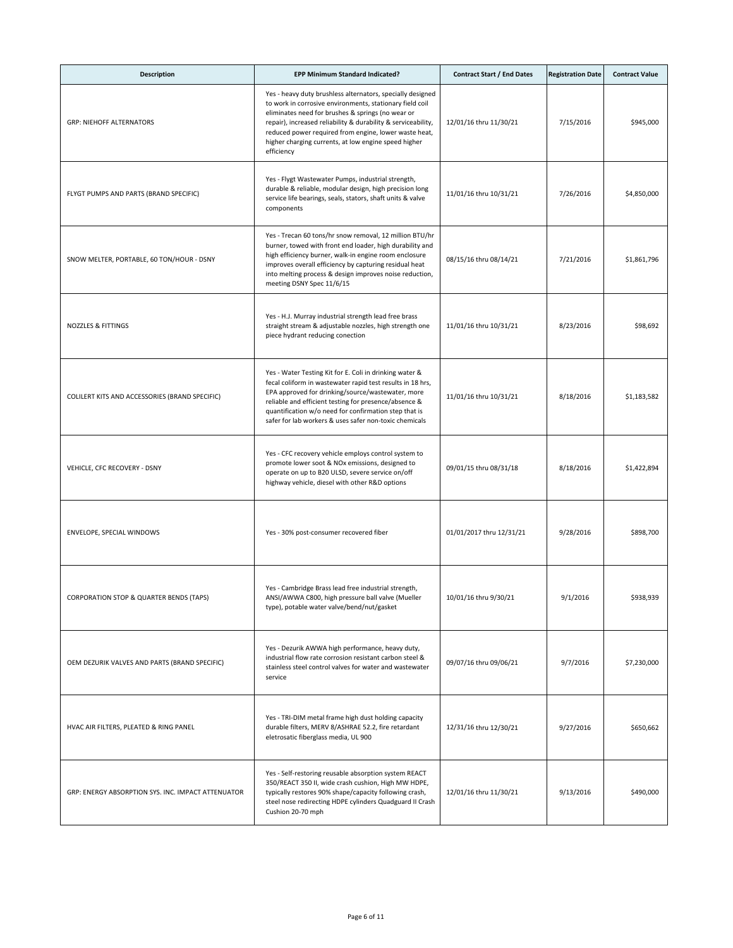| <b>Description</b>                                 | <b>EPP Minimum Standard Indicated?</b>                                                                                                                                                                                                                                                                                                                                      | <b>Contract Start / End Dates</b> | <b>Registration Date</b> | <b>Contract Value</b> |
|----------------------------------------------------|-----------------------------------------------------------------------------------------------------------------------------------------------------------------------------------------------------------------------------------------------------------------------------------------------------------------------------------------------------------------------------|-----------------------------------|--------------------------|-----------------------|
| <b>GRP: NIEHOFF ALTERNATORS</b>                    | Yes - heavy duty brushless alternators, specially designed<br>to work in corrosive environments, stationary field coil<br>eliminates need for brushes & springs (no wear or<br>repair), increased reliability & durability & serviceability,<br>reduced power required from engine, lower waste heat,<br>higher charging currents, at low engine speed higher<br>efficiency | 12/01/16 thru 11/30/21            | 7/15/2016                | \$945,000             |
| FLYGT PUMPS AND PARTS (BRAND SPECIFIC)             | Yes - Flygt Wastewater Pumps, industrial strength,<br>durable & reliable, modular design, high precision long<br>service life bearings, seals, stators, shaft units & valve<br>components                                                                                                                                                                                   | 11/01/16 thru 10/31/21            | 7/26/2016                | \$4,850,000           |
| SNOW MELTER, PORTABLE, 60 TON/HOUR - DSNY          | Yes - Trecan 60 tons/hr snow removal, 12 million BTU/hr<br>burner, towed with front end loader, high durability and<br>high efficiency burner, walk-in engine room enclosure<br>improves overall efficiency by capturing residual heat<br>into melting process & design improves noise reduction,<br>meeting DSNY Spec 11/6/15                                              | 08/15/16 thru 08/14/21            | 7/21/2016                | \$1,861,796           |
| NOZZLES & FITTINGS                                 | Yes - H.J. Murray industrial strength lead free brass<br>straight stream & adjustable nozzles, high strength one<br>piece hydrant reducing conection                                                                                                                                                                                                                        | 11/01/16 thru 10/31/21            | 8/23/2016                | \$98,692              |
| COLILERT KITS AND ACCESSORIES (BRAND SPECIFIC)     | Yes - Water Testing Kit for E. Coli in drinking water &<br>fecal coliform in wastewater rapid test results in 18 hrs,<br>EPA approved for drinking/source/wastewater, more<br>reliable and efficient testing for presence/absence &<br>quantification w/o need for confirmation step that is<br>safer for lab workers & uses safer non-toxic chemicals                      | 11/01/16 thru 10/31/21            | 8/18/2016                | \$1,183,582           |
| VEHICLE, CFC RECOVERY - DSNY                       | Yes - CFC recovery vehicle employs control system to<br>promote lower soot & NOx emissions, designed to<br>operate on up to B20 ULSD, severe service on/off<br>highway vehicle, diesel with other R&D options                                                                                                                                                               | 09/01/15 thru 08/31/18            | 8/18/2016                | \$1,422,894           |
| ENVELOPE, SPECIAL WINDOWS                          | Yes - 30% post-consumer recovered fiber                                                                                                                                                                                                                                                                                                                                     | 01/01/2017 thru 12/31/21          | 9/28/2016                | \$898,700             |
| CORPORATION STOP & QUARTER BENDS (TAPS)            | Yes - Cambridge Brass lead free industrial strength,<br>ANSI/AWWA C800, high pressure ball valve (Mueller<br>type), potable water valve/bend/nut/gasket                                                                                                                                                                                                                     | 10/01/16 thru 9/30/21             | 9/1/2016                 | \$938,939             |
| OEM DEZURIK VALVES AND PARTS (BRAND SPECIFIC)      | Yes - Dezurik AWWA high performance, heavy duty,<br>industrial flow rate corrosion resistant carbon steel &<br>stainless steel control valves for water and wastewater<br>service                                                                                                                                                                                           | 09/07/16 thru 09/06/21            | 9/7/2016                 | \$7,230,000           |
| HVAC AIR FILTERS, PLEATED & RING PANEL             | Yes - TRI-DIM metal frame high dust holding capacity<br>durable filters, MERV 8/ASHRAE 52.2, fire retardant<br>eletrosatic fiberglass media, UL 900                                                                                                                                                                                                                         | 12/31/16 thru 12/30/21            | 9/27/2016                | \$650,662             |
| GRP: ENERGY ABSORPTION SYS. INC. IMPACT ATTENUATOR | Yes - Self-restoring reusable absorption system REACT<br>350/REACT 350 II, wide crash cushion, High MW HDPE,<br>typically restores 90% shape/capacity following crash,<br>steel nose redirecting HDPE cylinders Quadguard II Crash<br>Cushion 20-70 mph                                                                                                                     | 12/01/16 thru 11/30/21            | 9/13/2016                | \$490,000             |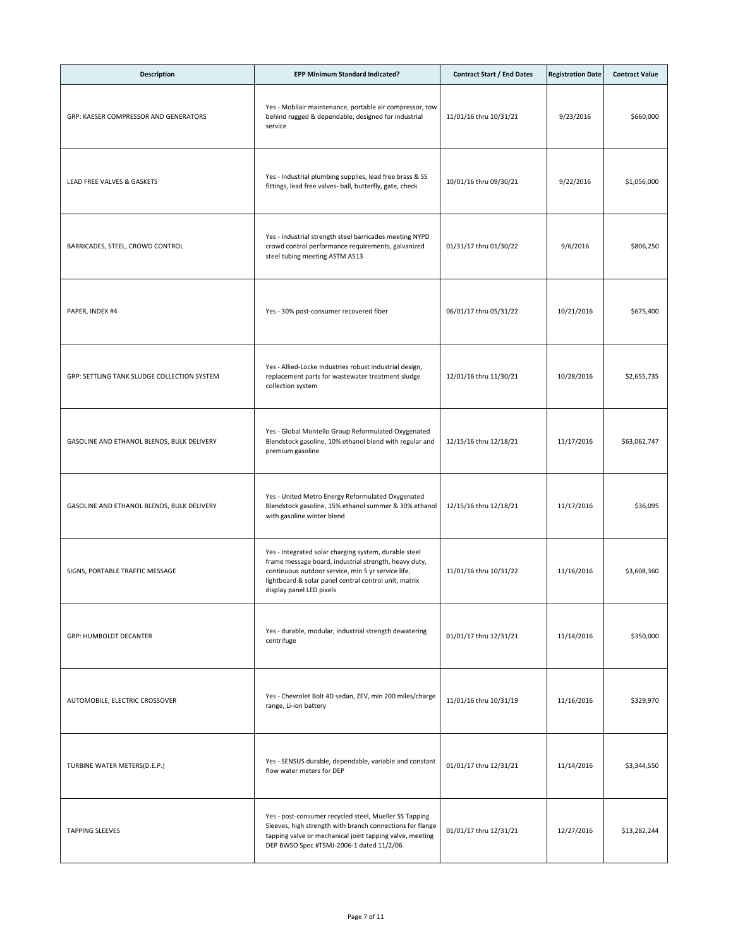| <b>Description</b>                          | EPP Minimum Standard Indicated?                                                                                                                                                                                                                           | <b>Contract Start / End Dates</b> | <b>Registration Date</b> | <b>Contract Value</b> |
|---------------------------------------------|-----------------------------------------------------------------------------------------------------------------------------------------------------------------------------------------------------------------------------------------------------------|-----------------------------------|--------------------------|-----------------------|
| GRP: KAESER COMPRESSOR AND GENERATORS       | Yes - Mobilair maintenance, portable air compressor, tow<br>behind rugged & dependable, designed for industrial<br>service                                                                                                                                | 11/01/16 thru 10/31/21            | 9/23/2016                | \$660,000             |
| LEAD FREE VALVES & GASKETS                  | Yes - Industrial plumbing supplies, lead free brass & SS<br>fittings, lead free valves- ball, butterfly, gate, check                                                                                                                                      | 10/01/16 thru 09/30/21            | 9/22/2016                | \$1,056,000           |
| BARRICADES, STEEL, CROWD CONTROL            | Yes - Industrial strength steel barricades meeting NYPD<br>crowd control performance requirements, galvanized<br>steel tubing meeting ASTM A513                                                                                                           | 01/31/17 thru 01/30/22            | 9/6/2016                 | \$806,250             |
| PAPER, INDEX #4                             | Yes - 30% post-consumer recovered fiber                                                                                                                                                                                                                   | 06/01/17 thru 05/31/22            | 10/21/2016               | \$675,400             |
| GRP: SETTLING TANK SLUDGE COLLECTION SYSTEM | Yes - Allied-Locke Industries robust industrial design,<br>replacement parts for wastewater treatment sludge<br>collection system                                                                                                                         | 12/01/16 thru 11/30/21            | 10/28/2016               | \$2,655,735           |
| GASOLINE AND ETHANOL BLENDS, BULK DELIVERY  | Yes - Global Montello Group Reformulated Oxygenated<br>Blendstock gasoline, 10% ethanol blend with regular and<br>premium gasoline                                                                                                                        | 12/15/16 thru 12/18/21            | 11/17/2016               | \$63,062,747          |
| GASOLINE AND ETHANOL BLENDS, BULK DELIVERY  | Yes - United Metro Energy Reformulated Oxygenated<br>Blendstock gasoline, 15% ethanol summer & 30% ethanol<br>with gasoline winter blend                                                                                                                  | 12/15/16 thru 12/18/21            | 11/17/2016               | \$36,095              |
| SIGNS, PORTABLE TRAFFIC MESSAGE             | Yes - Integrated solar charging system, durable steel<br>frame message board, industrial strength, heavy duty,<br>continuous outdoor service, min 5 yr service life,<br>lightboard & solar panel central control unit, matrix<br>display panel LED pixels | 11/01/16 thru 10/31/22            | 11/16/2016               | \$3,608,360           |
| <b>GRP: HUMBOLDT DECANTER</b>               | Yes - durable, modular, industrial strength dewatering<br>centrifuge                                                                                                                                                                                      | 01/01/17 thru 12/31/21            | 11/14/2016               | \$350,000             |
| AUTOMOBILE, ELECTRIC CROSSOVER              | Yes - Chevrolet Bolt 4D sedan, ZEV, min 200 miles/charge<br>range, Li-ion battery                                                                                                                                                                         | 11/01/16 thru 10/31/19            | 11/16/2016               | \$329,970             |
| TURBINE WATER METERS(D.E.P.)                | Yes - SENSUS durable, dependable, variable and constant<br>flow water meters for DEP                                                                                                                                                                      | 01/01/17 thru 12/31/21            | 11/14/2016               | \$3,344,550           |
| <b>TAPPING SLEEVES</b>                      | Yes - post-consumer recycled steel, Mueller SS Tapping<br>Sleeves, high strength with branch connections for flange<br>tapping valve or mechanical joint tapping valve, meeting<br>DEP BWSO Spec #TSMJ-2006-1 dated 11/2/06                               | 01/01/17 thru 12/31/21            | 12/27/2016               | \$13,282,244          |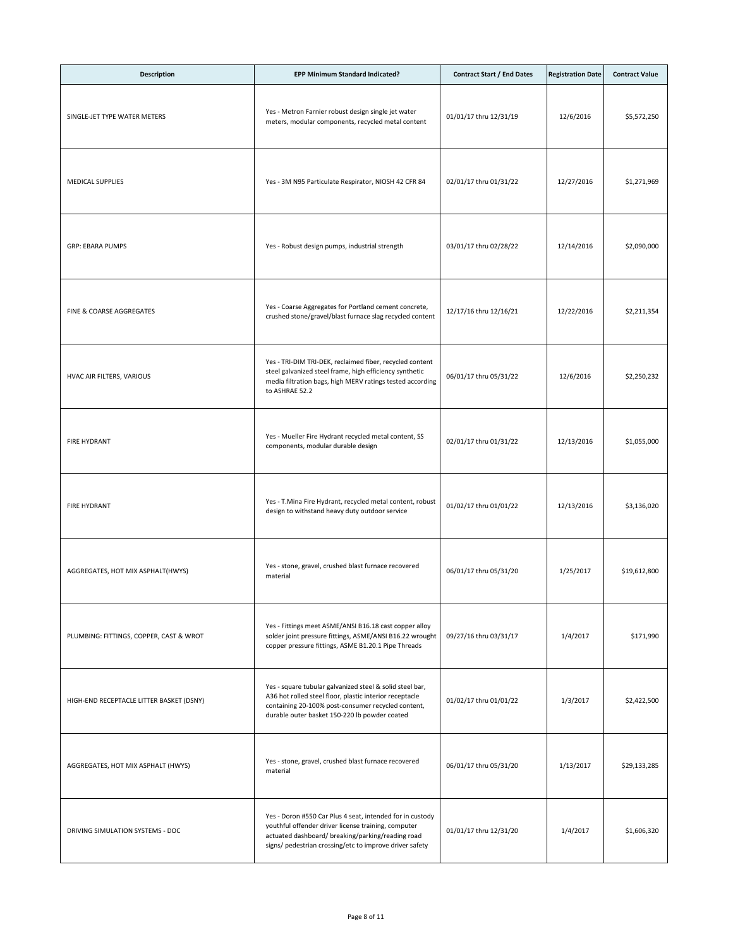| <b>Description</b>                       | EPP Minimum Standard Indicated?                                                                                                                                                                                                  | <b>Contract Start / End Dates</b> | <b>Registration Date</b> | <b>Contract Value</b> |
|------------------------------------------|----------------------------------------------------------------------------------------------------------------------------------------------------------------------------------------------------------------------------------|-----------------------------------|--------------------------|-----------------------|
| SINGLE-JET TYPE WATER METERS             | Yes - Metron Farnier robust design single jet water<br>meters, modular components, recycled metal content                                                                                                                        | 01/01/17 thru 12/31/19            | 12/6/2016                | \$5,572,250           |
| <b>MEDICAL SUPPLIES</b>                  | Yes - 3M N95 Particulate Respirator, NIOSH 42 CFR 84                                                                                                                                                                             | 02/01/17 thru 01/31/22            | 12/27/2016               | \$1,271,969           |
| <b>GRP: EBARA PUMPS</b>                  | Yes - Robust design pumps, industrial strength                                                                                                                                                                                   | 03/01/17 thru 02/28/22            | 12/14/2016               | \$2,090,000           |
| FINE & COARSE AGGREGATES                 | Yes - Coarse Aggregates for Portland cement concrete,<br>crushed stone/gravel/blast furnace slag recycled content                                                                                                                | 12/17/16 thru 12/16/21            | 12/22/2016               | \$2,211,354           |
| HVAC AIR FILTERS, VARIOUS                | Yes - TRI-DIM TRI-DEK, reclaimed fiber, recycled content<br>steel galvanized steel frame, high efficiency synthetic<br>media filtration bags, high MERV ratings tested according<br>to ASHRAE 52.2                               | 06/01/17 thru 05/31/22            | 12/6/2016                | \$2,250,232           |
| <b>FIRE HYDRANT</b>                      | Yes - Mueller Fire Hydrant recycled metal content, SS<br>components, modular durable design                                                                                                                                      | 02/01/17 thru 01/31/22            | 12/13/2016               | \$1,055,000           |
| <b>FIRE HYDRANT</b>                      | Yes - T.Mina Fire Hydrant, recycled metal content, robust<br>design to withstand heavy duty outdoor service                                                                                                                      | 01/02/17 thru 01/01/22            | 12/13/2016               | \$3,136,020           |
| AGGREGATES, HOT MIX ASPHALT(HWYS)        | Yes - stone, gravel, crushed blast furnace recovered<br>material                                                                                                                                                                 | 06/01/17 thru 05/31/20            | 1/25/2017                | \$19,612,800          |
| PLUMBING: FITTINGS, COPPER, CAST & WROT  | Yes - Fittings meet ASME/ANSI B16.18 cast copper alloy<br>solder joint pressure fittings, ASME/ANSI B16.22 wrought<br>copper pressure fittings, ASME B1.20.1 Pipe Threads                                                        | 09/27/16 thru 03/31/17            | 1/4/2017                 | \$171,990             |
| HIGH-END RECEPTACLE LITTER BASKET (DSNY) | Yes - square tubular galvanized steel & solid steel bar,<br>A36 hot rolled steel floor, plastic interior receptacle<br>containing 20-100% post-consumer recycled content,<br>durable outer basket 150-220 lb powder coated       | 01/02/17 thru 01/01/22            | 1/3/2017                 | \$2,422,500           |
| AGGREGATES, HOT MIX ASPHALT (HWYS)       | Yes - stone, gravel, crushed blast furnace recovered<br>material                                                                                                                                                                 | 06/01/17 thru 05/31/20            | 1/13/2017                | \$29,133,285          |
| DRIVING SIMULATION SYSTEMS - DOC         | Yes - Doron #550 Car Plus 4 seat, intended for in custody<br>youthful offender driver license training, computer<br>actuated dashboard/ breaking/parking/reading road<br>signs/ pedestrian crossing/etc to improve driver safety | 01/01/17 thru 12/31/20            | 1/4/2017                 | \$1,606,320           |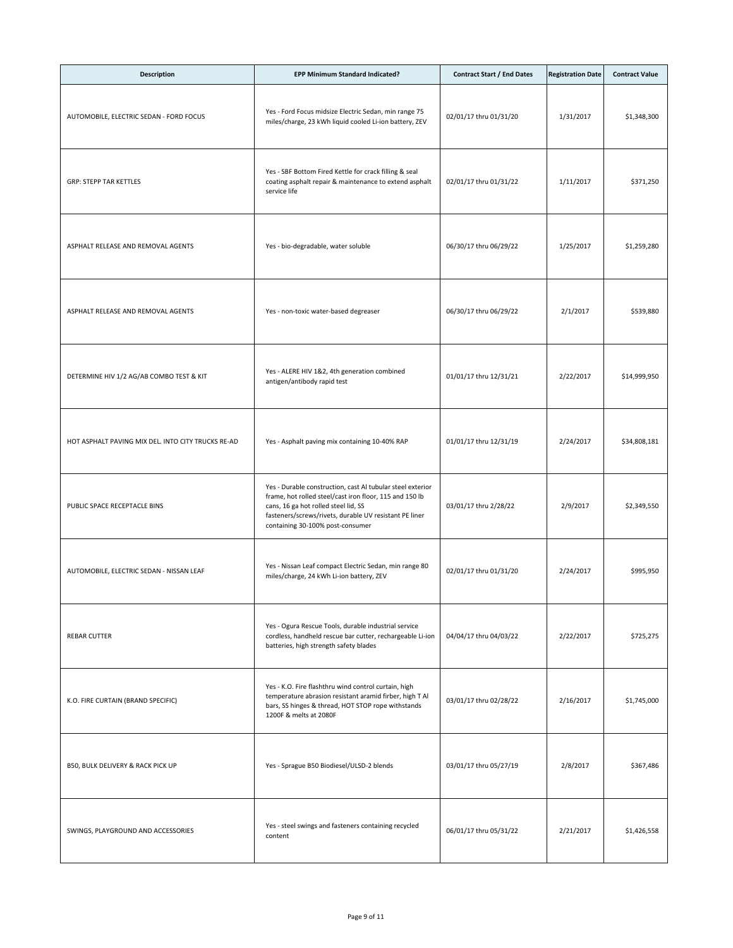| <b>Description</b>                                 | EPP Minimum Standard Indicated?                                                                                                                                                                                                                             | <b>Contract Start / End Dates</b> | <b>Registration Date</b> | <b>Contract Value</b> |
|----------------------------------------------------|-------------------------------------------------------------------------------------------------------------------------------------------------------------------------------------------------------------------------------------------------------------|-----------------------------------|--------------------------|-----------------------|
| AUTOMOBILE, ELECTRIC SEDAN - FORD FOCUS            | Yes - Ford Focus midsize Electric Sedan, min range 75<br>miles/charge, 23 kWh liquid cooled Li-ion battery, ZEV                                                                                                                                             | 02/01/17 thru 01/31/20            | 1/31/2017                | \$1,348,300           |
| <b>GRP: STEPP TAR KETTLES</b>                      | Yes - SBF Bottom Fired Kettle for crack filling & seal<br>coating asphalt repair & maintenance to extend asphalt<br>service life                                                                                                                            | 02/01/17 thru 01/31/22            | 1/11/2017                | \$371,250             |
| ASPHALT RELEASE AND REMOVAL AGENTS                 | Yes - bio-degradable, water soluble                                                                                                                                                                                                                         | 06/30/17 thru 06/29/22            | 1/25/2017                | \$1,259,280           |
| ASPHALT RELEASE AND REMOVAL AGENTS                 | Yes - non-toxic water-based degreaser                                                                                                                                                                                                                       | 06/30/17 thru 06/29/22            | 2/1/2017                 | \$539,880             |
| DETERMINE HIV 1/2 AG/AB COMBO TEST & KIT           | Yes - ALERE HIV 1&2, 4th generation combined<br>antigen/antibody rapid test                                                                                                                                                                                 | 01/01/17 thru 12/31/21            | 2/22/2017                | \$14,999,950          |
| HOT ASPHALT PAVING MIX DEL. INTO CITY TRUCKS RE-AD | Yes - Asphalt paving mix containing 10-40% RAP                                                                                                                                                                                                              | 01/01/17 thru 12/31/19            | 2/24/2017                | \$34,808,181          |
| PUBLIC SPACE RECEPTACLE BINS                       | Yes - Durable construction, cast Al tubular steel exterior<br>frame, hot rolled steel/cast iron floor, 115 and 150 lb<br>cans, 16 ga hot rolled steel lid, SS<br>fasteners/screws/rivets, durable UV resistant PE liner<br>containing 30-100% post-consumer | 03/01/17 thru 2/28/22             | 2/9/2017                 | \$2,349,550           |
| AUTOMOBILE, ELECTRIC SEDAN - NISSAN LEAF           | Yes - Nissan Leaf compact Electric Sedan, min range 80<br>miles/charge, 24 kWh Li-ion battery, ZEV                                                                                                                                                          | 02/01/17 thru 01/31/20            | 2/24/2017                | \$995,950             |
| <b>REBAR CUTTER</b>                                | Yes - Ogura Rescue Tools, durable industrial service<br>cordless, handheld rescue bar cutter, rechargeable Li-ion<br>batteries, high strength safety blades                                                                                                 | 04/04/17 thru 04/03/22            | 2/22/2017                | \$725,275             |
| K.O. FIRE CURTAIN (BRAND SPECIFIC)                 | Yes - K.O. Fire flashthru wind control curtain, high<br>temperature abrasion resistant aramid firber, high T Al<br>bars, SS hinges & thread, HOT STOP rope withstands<br>1200F & melts at 2080F                                                             | 03/01/17 thru 02/28/22            | 2/16/2017                | \$1,745,000           |
| B50, BULK DELIVERY & RACK PICK UP                  | Yes - Sprague B50 Biodiesel/ULSD-2 blends                                                                                                                                                                                                                   | 03/01/17 thru 05/27/19            | 2/8/2017                 | \$367,486             |
| SWINGS, PLAYGROUND AND ACCESSORIES                 | Yes - steel swings and fasteners containing recycled<br>content                                                                                                                                                                                             | 06/01/17 thru 05/31/22            | 2/21/2017                | \$1,426,558           |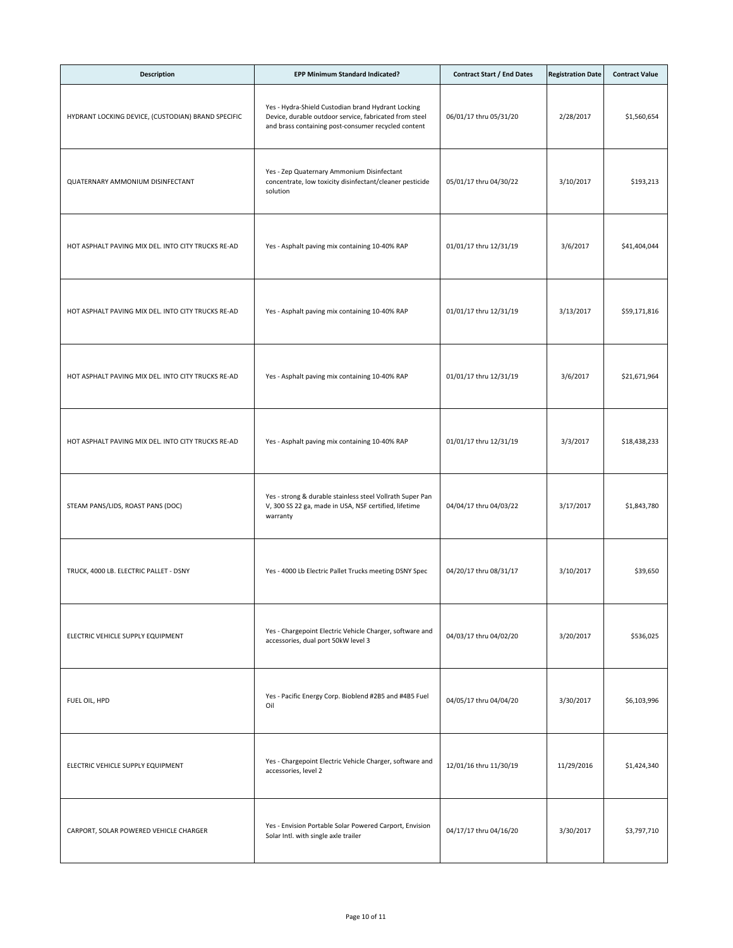| <b>Description</b>                                 | EPP Minimum Standard Indicated?                                                                                                                                     | <b>Contract Start / End Dates</b> | <b>Registration Date</b> | <b>Contract Value</b> |
|----------------------------------------------------|---------------------------------------------------------------------------------------------------------------------------------------------------------------------|-----------------------------------|--------------------------|-----------------------|
| HYDRANT LOCKING DEVICE, (CUSTODIAN) BRAND SPECIFIC | Yes - Hydra-Shield Custodian brand Hydrant Locking<br>Device, durable outdoor service, fabricated from steel<br>and brass containing post-consumer recycled content | 06/01/17 thru 05/31/20            | 2/28/2017                | \$1,560,654           |
| QUATERNARY AMMONIUM DISINFECTANT                   | Yes - Zep Quaternary Ammonium Disinfectant<br>concentrate, low toxicity disinfectant/cleaner pesticide<br>solution                                                  | 05/01/17 thru 04/30/22            | 3/10/2017                | \$193,213             |
| HOT ASPHALT PAVING MIX DEL. INTO CITY TRUCKS RE-AD | Yes - Asphalt paving mix containing 10-40% RAP                                                                                                                      | 01/01/17 thru 12/31/19            | 3/6/2017                 | \$41,404,044          |
| HOT ASPHALT PAVING MIX DEL. INTO CITY TRUCKS RE-AD | Yes - Asphalt paving mix containing 10-40% RAP                                                                                                                      | 01/01/17 thru 12/31/19            | 3/13/2017                | \$59,171,816          |
| HOT ASPHALT PAVING MIX DEL. INTO CITY TRUCKS RE-AD | Yes - Asphalt paving mix containing 10-40% RAP                                                                                                                      | 01/01/17 thru 12/31/19            | 3/6/2017                 | \$21,671,964          |
| HOT ASPHALT PAVING MIX DEL. INTO CITY TRUCKS RE-AD | Yes - Asphalt paving mix containing 10-40% RAP                                                                                                                      | 01/01/17 thru 12/31/19            | 3/3/2017                 | \$18,438,233          |
| STEAM PANS/LIDS, ROAST PANS (DOC)                  | Yes - strong & durable stainless steel Vollrath Super Pan<br>V, 300 SS 22 ga, made in USA, NSF certified, lifetime<br>warranty                                      | 04/04/17 thru 04/03/22            | 3/17/2017                | \$1,843,780           |
| TRUCK, 4000 LB. ELECTRIC PALLET - DSNY             | Yes - 4000 Lb Electric Pallet Trucks meeting DSNY Spec                                                                                                              | 04/20/17 thru 08/31/17            | 3/10/2017                | \$39,650              |
| ELECTRIC VEHICLE SUPPLY EQUIPMENT                  | Yes - Chargepoint Electric Vehicle Charger, software and<br>accessories, dual port 50kW level 3                                                                     | 04/03/17 thru 04/02/20            | 3/20/2017                | \$536,025             |
| FUEL OIL, HPD                                      | Yes - Pacific Energy Corp. Bioblend #2B5 and #4B5 Fuel<br>Oil                                                                                                       | 04/05/17 thru 04/04/20            | 3/30/2017                | \$6,103,996           |
| ELECTRIC VEHICLE SUPPLY EQUIPMENT                  | Yes - Chargepoint Electric Vehicle Charger, software and<br>accessories, level 2                                                                                    | 12/01/16 thru 11/30/19            | 11/29/2016               | \$1,424,340           |
| CARPORT, SOLAR POWERED VEHICLE CHARGER             | Yes - Envision Portable Solar Powered Carport, Envision<br>Solar Intl. with single axle trailer                                                                     | 04/17/17 thru 04/16/20            | 3/30/2017                | \$3,797,710           |